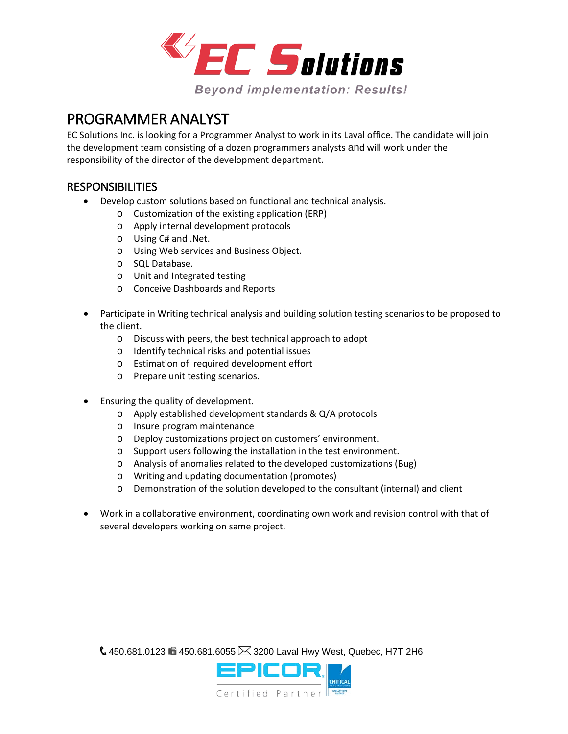

## PROGRAMMER ANALYST

EC Solutions Inc. is looking for a Programmer Analyst to work in its Laval office. The candidate will join the development team consisting of a dozen programmers analysts and will work under the responsibility of the director of the development department.

## RESPONSIBILITIES

- Develop custom solutions based on functional and technical analysis.
	- o Customization of the existing application (ERP)
	- o Apply internal development protocols
	- o Using C# and .Net.
	- o Using Web services and Business Object.
	- o SQL Database.
	- o Unit and Integrated testing
	- o Conceive Dashboards and Reports
- Participate in Writing technical analysis and building solution testing scenarios to be proposed to the client.
	- o Discuss with peers, the best technical approach to adopt
	- o Identify technical risks and potential issues
	- o Estimation of required development effort
	- o Prepare unit testing scenarios.
- Ensuring the quality of development.
	- o Apply established development standards & Q/A protocols
	- o Insure program maintenance
	- o Deploy customizations project on customers' environment.
	- o Support users following the installation in the test environment.
	- o Analysis of anomalies related to the developed customizations (Bug)
	- o Writing and updating documentation (promotes)
	- o Demonstration of the solution developed to the consultant (internal) and client
- Work in a collaborative environment, coordinating own work and revision control with that of several developers working on same project.